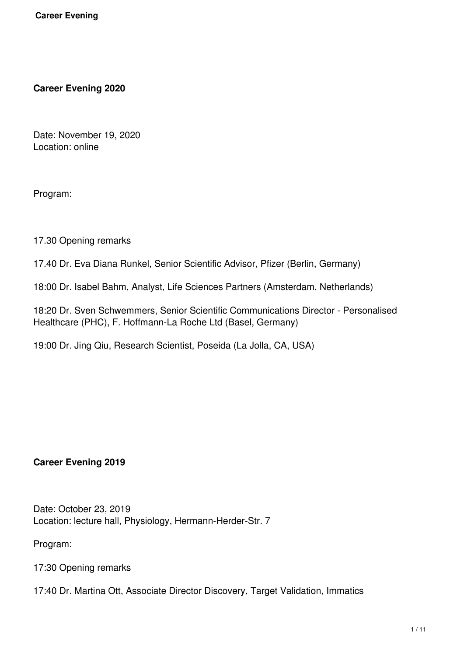**Career Evening 2020**

Date: November 19, 2020 Location: online

Program:

17.30 Opening remarks

17.40 Dr. Eva Diana Runkel, Senior Scientific Advisor, Pfizer (Berlin, Germany)

18:00 Dr. Isabel Bahm, Analyst, Life Sciences Partners (Amsterdam, Netherlands)

18:20 Dr. Sven Schwemmers, Senior Scientific Communications Director - Personalised Healthcare (PHC), F. Hoffmann-La Roche Ltd (Basel, Germany)

19:00 Dr. Jing Qiu, Research Scientist, Poseida (La Jolla, CA, USA)

### **Career Evening 2019**

Date: October 23, 2019 Location: lecture hall, Physiology, Hermann-Herder-Str. 7

Program:

17:30 Opening remarks

17:40 Dr. Martina Ott, Associate Director Discovery, Target Validation, Immatics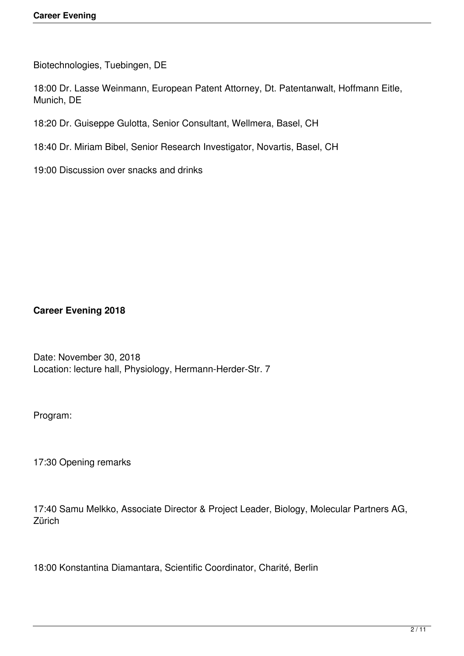Biotechnologies, Tuebingen, DE

18:00 Dr. Lasse Weinmann, European Patent Attorney, Dt. Patentanwalt, Hoffmann Eitle, Munich, DE

18:20 Dr. Guiseppe Gulotta, Senior Consultant, Wellmera, Basel, CH

18:40 Dr. Miriam Bibel, Senior Research Investigator, Novartis, Basel, CH

19:00 Discussion over snacks and drinks

**Career Evening 2018**

Date: November 30, 2018 Location: lecture hall, Physiology, Hermann-Herder-Str. 7

Program:

17:30 Opening remarks

17:40 Samu Melkko, Associate Director & Project Leader, Biology, Molecular Partners AG, **Zürich** 

18:00 Konstantina Diamantara, Scientific Coordinator, Charité, Berlin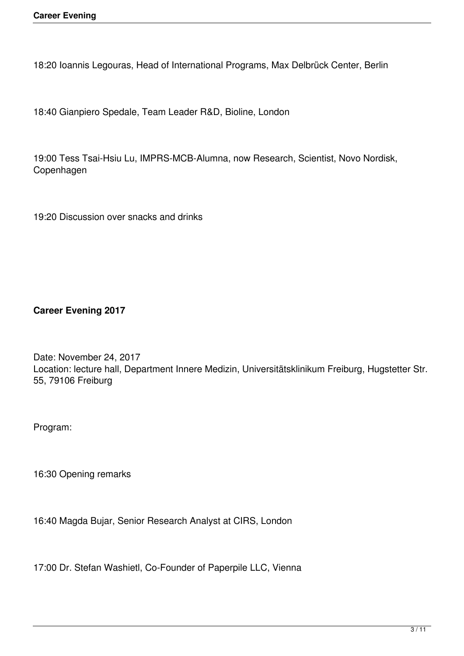18:20 Ioannis Legouras, Head of International Programs, Max Delbrück Center, Berlin

18:40 Gianpiero Spedale, Team Leader R&D, Bioline, London

19:00 Tess Tsai-Hsiu Lu, IMPRS-MCB-Alumna, now Research, Scientist, Novo Nordisk, Copenhagen

19:20 Discussion over snacks and drinks

**Career Evening 2017**

Date: November 24, 2017 Location: lecture hall, Department Innere Medizin, Universitätsklinikum Freiburg, Hugstetter Str. 55, 79106 Freiburg

Program:

16:30 Opening remarks

16:40 Magda Bujar, Senior Research Analyst at CIRS, London

17:00 Dr. Stefan Washietl, Co-Founder of Paperpile LLC, Vienna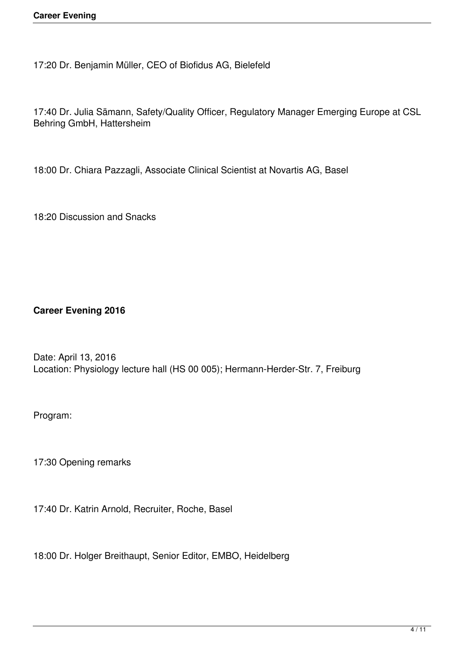17:20 Dr. Benjamin Müller, CEO of Biofidus AG, Bielefeld

17:40 Dr. Julia Sämann, Safety/Quality Officer, Regulatory Manager Emerging Europe at CSL Behring GmbH, Hattersheim

18:00 Dr. Chiara Pazzagli, Associate Clinical Scientist at Novartis AG, Basel

18:20 Discussion and Snacks

**Career Evening 2016**

Date: April 13, 2016 Location: Physiology lecture hall (HS 00 005); Hermann-Herder-Str. 7, Freiburg

Program:

17:30 Opening remarks

17:40 Dr. Katrin Arnold, Recruiter, Roche, Basel

18:00 Dr. Holger Breithaupt, Senior Editor, EMBO, Heidelberg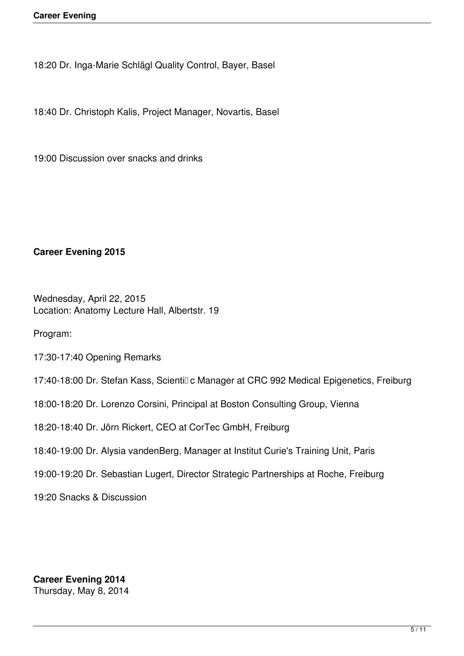18:20 Dr. Inga-Marie Schlägl Quality Control, Bayer, Basel

18:40 Dr. Christoph Kalis, Project Manager, Novartis, Basel

19:00 Discussion over snacks and drinks

## **Career Evening 2015**

Wednesday, April 22, 2015 Location: Anatomy Lecture Hall, Albertstr. 19

Program:

17:30-17:40 Opening Remarks

17:40-18:00 Dr. Stefan Kass, Scientil c Manager at CRC 992 Medical Epigenetics, Freiburg

18:00-18:20 Dr. Lorenzo Corsini, Principal at Boston Consulting Group, Vienna

18:20-18:40 Dr. Jörn Rickert, CEO at CorTec GmbH, Freiburg

- 18:40-19:00 Dr. Alysia vandenBerg, Manager at Institut Curie's Training Unit, Paris
- 19:00-19:20 Dr. Sebastian Lugert, Director Strategic Partnerships at Roche, Freiburg

19:20 Snacks & Discussion

**Career Evening 2014** Thursday, May 8, 2014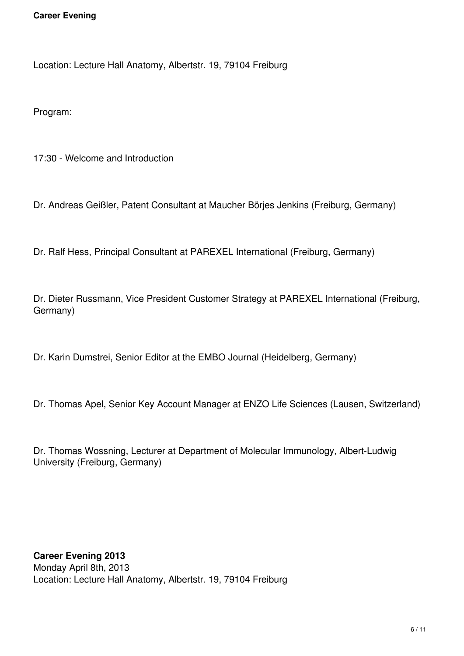Location: Lecture Hall Anatomy, Albertstr. 19, 79104 Freiburg

Program:

17:30 - Welcome and Introduction

Dr. Andreas Geißler, Patent Consultant at Maucher Börjes Jenkins (Freiburg, Germany)

Dr. Ralf Hess, Principal Consultant at PAREXEL International (Freiburg, Germany)

Dr. Dieter Russmann, Vice President Customer Strategy at PAREXEL International (Freiburg, Germany)

Dr. Karin Dumstrei, Senior Editor at the EMBO Journal (Heidelberg, Germany)

Dr. Thomas Apel, Senior Key Account Manager at ENZO Life Sciences (Lausen, Switzerland)

Dr. Thomas Wossning, Lecturer at Department of Molecular Immunology, Albert-Ludwig University (Freiburg, Germany)

# **Career Evening 2013**

Monday April 8th, 2013 Location: Lecture Hall Anatomy, Albertstr. 19, 79104 Freiburg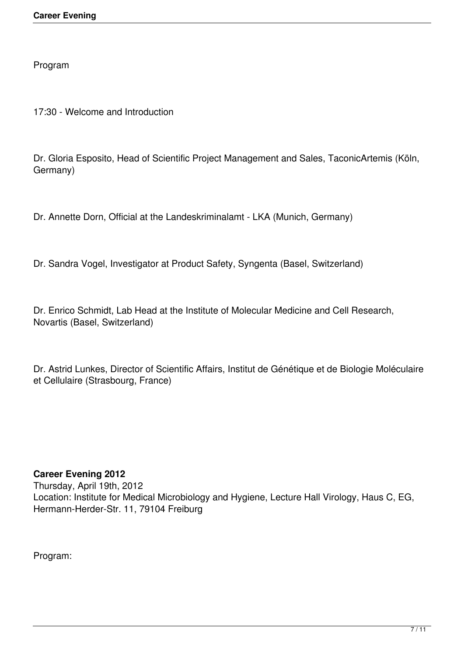Program

17:30 - Welcome and Introduction

Dr. Gloria Esposito, Head of Scientific Project Management and Sales, TaconicArtemis (Köln, Germany)

Dr. Annette Dorn, Official at the Landeskriminalamt - LKA (Munich, Germany)

Dr. Sandra Vogel, Investigator at Product Safety, Syngenta (Basel, Switzerland)

Dr. Enrico Schmidt, Lab Head at the Institute of Molecular Medicine and Cell Research, Novartis (Basel, Switzerland)

Dr. Astrid Lunkes, Director of Scientific Affairs, Institut de Génétique et de Biologie Moléculaire et Cellulaire (Strasbourg, France)

## **Career Evening 2012**

Thursday, April 19th, 2012 Location: Institute for Medical Microbiology and Hygiene, Lecture Hall Virology, Haus C, EG, Hermann-Herder-Str. 11, 79104 Freiburg

Program: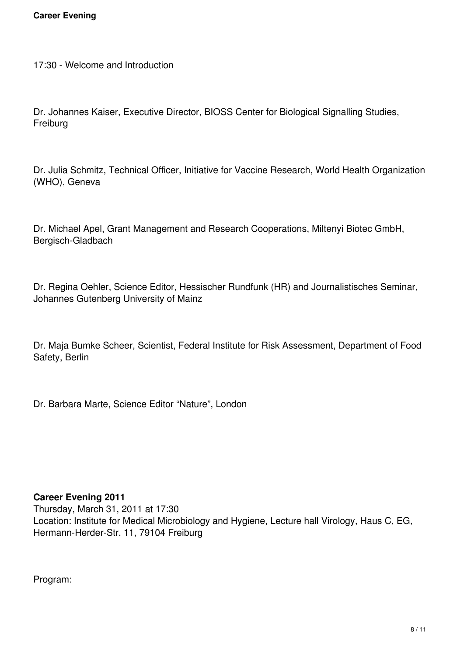17:30 - Welcome and Introduction

Dr. Johannes Kaiser, Executive Director, BIOSS Center for Biological Signalling Studies, Freiburg

Dr. Julia Schmitz, Technical Officer, Initiative for Vaccine Research, World Health Organization (WHO), Geneva

Dr. Michael Apel, Grant Management and Research Cooperations, Miltenyi Biotec GmbH, Bergisch-Gladbach

Dr. Regina Oehler, Science Editor, Hessischer Rundfunk (HR) and Journalistisches Seminar, Johannes Gutenberg University of Mainz

Dr. Maja Bumke Scheer, Scientist, Federal Institute for Risk Assessment, Department of Food Safety, Berlin

Dr. Barbara Marte, Science Editor "Nature", London

### **Career Evening 2011**

Thursday, March 31, 2011 at 17:30 Location: Institute for Medical Microbiology and Hygiene, Lecture hall Virology, Haus C, EG, Hermann-Herder-Str. 11, 79104 Freiburg

Program: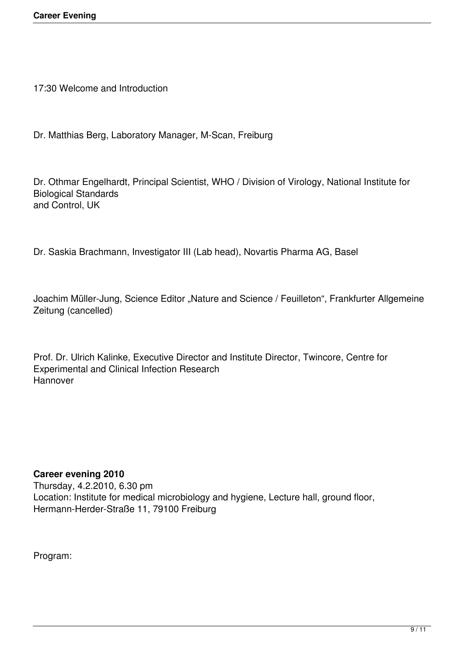17:30 Welcome and Introduction

Dr. Matthias Berg, Laboratory Manager, M-Scan, Freiburg

Dr. Othmar Engelhardt, Principal Scientist, WHO / Division of Virology, National Institute for Biological Standards and Control, UK

Dr. Saskia Brachmann, Investigator III (Lab head), Novartis Pharma AG, Basel

Joachim Müller-Jung, Science Editor "Nature and Science / Feuilleton", Frankfurter Allgemeine Zeitung (cancelled)

Prof. Dr. Ulrich Kalinke, Executive Director and Institute Director, Twincore, Centre for Experimental and Clinical Infection Research Hannover

## **Career evening 2010**

Thursday, 4.2.2010, 6.30 pm Location: Institute for medical microbiology and hygiene, Lecture hall, ground floor, Hermann-Herder-Straße 11, 79100 Freiburg

Program: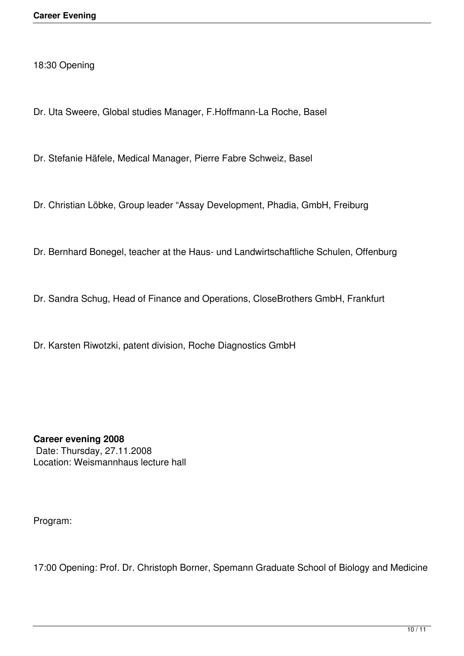18:30 Opening

Dr. Uta Sweere, Global studies Manager, F.Hoffmann-La Roche, Basel

Dr. Stefanie Häfele, Medical Manager, Pierre Fabre Schweiz, Basel

Dr. Christian Löbke, Group leader "Assay Development, Phadia, GmbH, Freiburg

Dr. Bernhard Bonegel, teacher at the Haus- und Landwirtschaftliche Schulen, Offenburg

Dr. Sandra Schug, Head of Finance and Operations, CloseBrothers GmbH, Frankfurt

Dr. Karsten Riwotzki, patent division, Roche Diagnostics GmbH

**Career evening 2008** Date: Thursday, 27.11.2008 Location: Weismannhaus lecture hall

Program:

17:00 Opening: Prof. Dr. Christoph Borner, Spemann Graduate School of Biology and Medicine